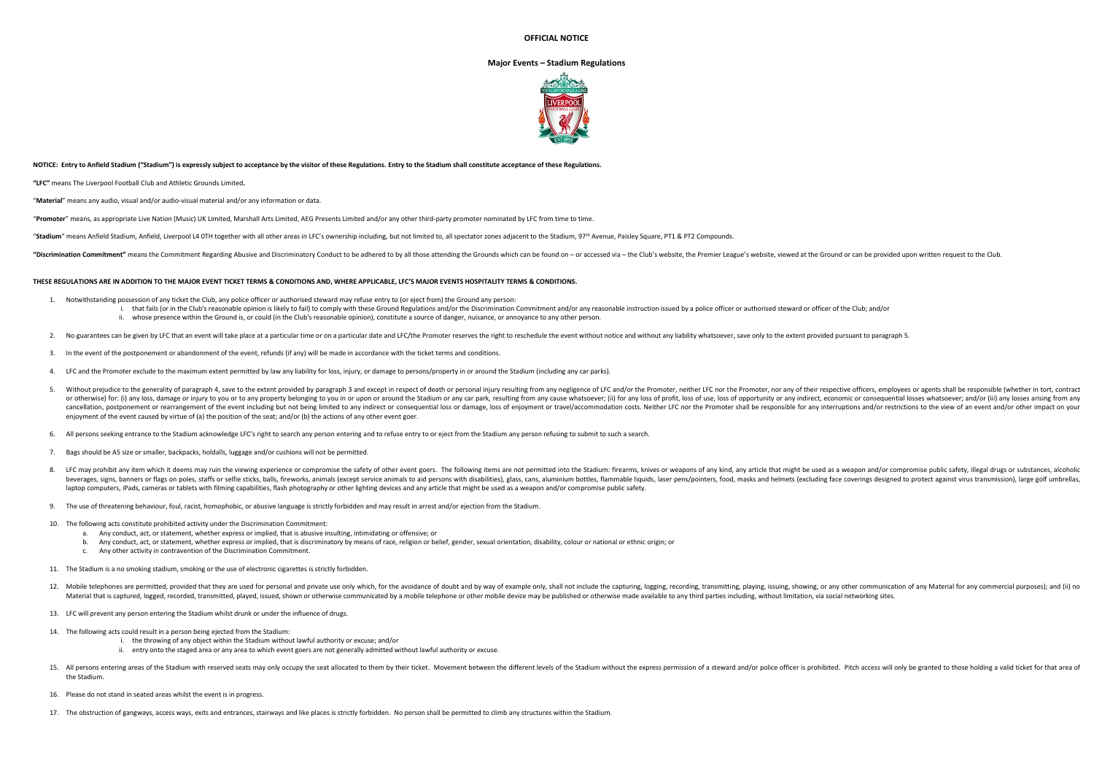## **OFFICIAL NOTICE**

# **Major Events – Stadium Regulations**



### **NOTICE: Entry to Anfield Stadium ("Stadium") is expressly subject to acceptance by the visitor of these Regulations. Entry to the Stadium shall constitute acceptance of these Regulations.**

**"LFC"** means The Liverpool Football Club and Athletic Grounds Limited**.**

"**Material**" means any audio, visual and/or audio-visual material and/or any information or data.

"**Promoter**" means, as appropriate Live Nation (Music) UK Limited, Marshall Arts Limited, AEG Presents Limited and/or any other third-party promoter nominated by LFC from time to time.

"Stadium" means Anfield Stadium, Anfield, Liverpool L4 0TH together with all other areas in LFC's ownership including, but not limited to, all spectator zones adjacent to the Stadium, 97<sup>th</sup> Avenue, Paisley Square, PT1 & P

"Discrimination Commitment" means the Commitment Regarding Abusive and Discriminatory Conduct to be adhered to by all those attending the Grounds which can be found on - or accessed via - the Club's website, the Premier Le

- 1. Notwithstanding possession of any ticket the Club, any police officer or authorised steward may refuse entry to (or eject from) the Ground any person:
	- i. that fails (or in the Club's reasonable opinion is likely to fail) to comply with these Ground Regulations and/or the Discrimination Commitment and/or any reasonable instruction issued by a police officer or authorised ii. whose presence within the Ground is, or could (in the Club's reasonable opinion), constitute a source of danger, nuisance, or annoyance to any other person.
- 2. No guarantees can be given by LFC that an event will take place at a particular time or on a particular date and LFC/the Promoter reserves the right to reschedule the event without notice and without any liability whats
- 3. In the event of the postponement or abandonment of the event, refunds (if any) will be made in accordance with the ticket terms and conditions.
- 4. LFC and the Promoter exclude to the maximum extent permitted by law any liability for loss, injury, or damage to persons/property in or around the Stadium (including any car parks).
- Without prejudice to the generality of paragraph 4, save to the extent provided by paragraph 3 and except in respect of death or personal injury resulting from any negligence of LFC and/or the Promoter, neither LFC nor the or otherwise) for: (i) any loss, damage or injury to you or to any property belonging to you in or upon or around the Stadium or any car park, resulting from any cause whatsoever; (ii) for any loss of use, loss of use, los cancellation, postponement or rearrangement of the event including but not being limited to any indirect or consequential loss or damage, loss of enjoyment or travel/accommodation costs. Neither LFC nor the Promoter shall enjoyment of the event caused by virtue of (a) the position of the seat; and/or (b) the actions of any other event goer.
- All persons seeking entrance to the Stadium acknowledge LFC's right to search any person entering and to refuse entry to or eject from the Stadium any person refusing to submit to such a search.
- 7. Bags should be A5 size or smaller, backpacks, holdalls, luggage and/or cushions will not be permitted.
- 8. LFC may prohibit any item which it deems may ruin the viewing experience or compromise the safety of other event goers. The following items are not permitted into the Stadium: firearms, knives or weapons of any kind, an beverages, signs, banners or flags on poles, staffs or selfie sticks, balls, fireworks, animals (except service animals (except service animals to aid persons with disabilities), glass, cans, aluminium bottles, flammable l laptop computers, iPads, cameras or tablets with filming capabilities, flash photography or other lighting devices and any article that might be used as a weapon and/or compromise public safety.
- 9. The use of threatening behaviour, foul, racist, homophobic, or abusive language is strictly forbidden and may result in arrest and/or ejection from the Stadium.
- 10. The following acts constitute prohibited activity under the Discrimination Commitment:
	- a. Any conduct, act, or statement, whether express or implied, that is abusive insulting, intimidating or offensive; or
	- b. Any conduct, act, or statement, whether express or implied, that is discriminatory by means of race, religion or belief, gender, sexual orientation, disability, colour or national or ethnic origin; or
	- c. Any other activity in contravention of the Discrimination Commitment.
- 11. The Stadium is a no smoking stadium, smoking or the use of electronic cigarettes is strictly forbidden.
- 12. Mobile telephones are permitted, provided that they are used for personal and private use only which, for the avoidance of doubt and by way of example only, shall not include the capturing, logging, recording, transmit Material that is captured, logged, recorded, transmitted, played, issued, shown or otherwise communicated by a mobile telephone or other mobile device may be published or otherwise made available to any third parties inclu
- 13. LFC will prevent any person entering the Stadium whilst drunk or under the influence of drugs.
- 14. The following acts could result in a person being ejected from the Stadium:
	- i. the throwing of any object within the Stadium without lawful authority or excuse: and/or
	- ii. entry onto the staged area or any area to which event goers are not generally admitted without lawful authority or excuse.
- 15. All persons entering areas of the Stadium with reserved seats may only occupy the seat allocated to them by their ticket. Movement between the different levels of the Stadium without the express permission of a steward the Stadium.
- 16. Please do not stand in seated areas whilst the event is in progress.
- 17. The obstruction of gangways, access ways, exits and entrances, stairways and like places is strictly forbidden. No person shall be permitted to climb any structures within the Stadium.

#### **THESE REGULATIONS ARE IN ADDITION TO THE MAJOR EVENT TICKET TERMS & CONDITIONS AND, WHERE APPLICABLE, LFC'S MAJOR EVENTS HOSPITALITY TERMS & CONDITIONS.**